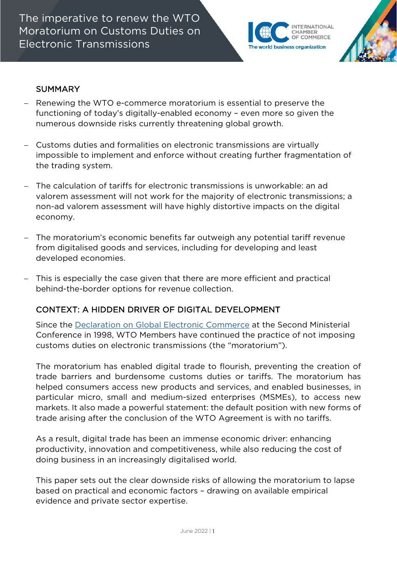The imperative to renew the WTO Moratorium on Customs Duties on Electronic Transmissions



### SUMMARY

- − Renewing the WTO e-commerce moratorium is essential to preserve the functioning of today's digitally-enabled economy – even more so given the numerous downside risks currently threatening global growth.
- − Customs duties and formalities on electronic transmissions are virtually impossible to implement and enforce without creating further fragmentation of the trading system.
- − The calculation of tariffs for electronic transmissions is unworkable: an ad valorem assessment will not work for the majority of electronic transmissions; a non-ad valorem assessment will have highly distortive impacts on the digital economy.
- − The moratorium's economic benefits far outweigh any potential tariff revenue from digitalised goods and services, including for developing and least developed economies.
- This is especially the case given that there are more efficient and practical behind-the-border options for revenue collection.

### CONTEXT: A HIDDEN DRIVER OF DIGITAL DEVELOPMENT

Since the [Declaration on Global Electronic Commerce](https://www.wto.org/english/tratop_e/ecom_e/ecom_e.htm) at the Second Ministerial Conference in 1998, WTO Members have continued the practice of not imposing customs duties on electronic transmissions (the "moratorium").

The moratorium has enabled digital trade to flourish, preventing the creation of trade barriers and burdensome customs duties or tariffs. The moratorium has helped consumers access new products and services, and enabled businesses, in particular micro, small and medium-sized enterprises (MSMEs), to access new markets. It also made a powerful statement: the default position with new forms of trade arising after the conclusion of the WTO Agreement is with no tariffs.

As a result, digital trade has been an immense economic driver: enhancing productivity, innovation and competitiveness, while also reducing the cost of doing business in an increasingly digitalised world.

This paper sets out the clear downside risks of allowing the moratorium to lapse based on practical and economic factors – drawing on available empirical evidence and private sector expertise.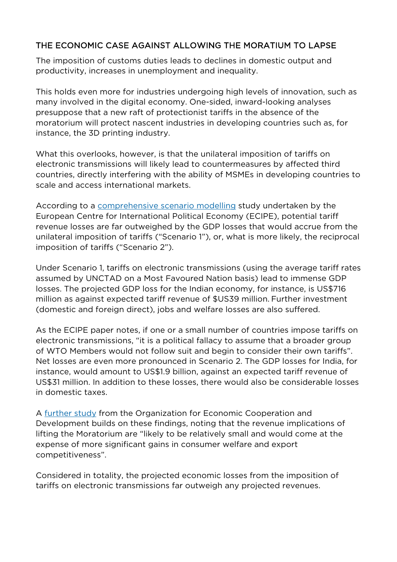# THE ECONOMIC CASE AGAINST ALLOWING THE MORATIUM TO LAPSE

The imposition of customs duties leads to declines in domestic output and productivity, increases in unemployment and inequality.

This holds even more for industries undergoing high levels of innovation, such as many involved in the digital economy. One-sided, inward-looking analyses presuppose that a new raft of protectionist tariffs in the absence of the moratorium will protect nascent industries in developing countries such as, for instance, the 3D printing industry.

What this overlooks, however, is that the unilateral imposition of tariffs on electronic transmissions will likely lead to countermeasures by affected third countries, directly interfering with the ability of MSMEs in developing countries to scale and access international markets.

According to a [comprehensive scenario modelling](https://ecipe.org/publications/moratorium/) study undertaken by the European Centre for International Political Economy (ECIPE), potential tariff revenue losses are far outweighed by the GDP losses that would accrue from the unilateral imposition of tariffs ("Scenario 1"), or, what is more likely, the reciprocal imposition of tariffs ("Scenario 2").

Under Scenario 1, tariffs on electronic transmissions (using the average tariff rates assumed by UNCTAD on a Most Favoured Nation basis) lead to immense GDP losses. The projected GDP loss for the Indian economy, for instance, is US\$716 million as against expected tariff revenue of \$US39 million. Further investment (domestic and foreign direct), jobs and welfare losses are also suffered.

As the ECIPE paper notes, if one or a small number of countries impose tariffs on electronic transmissions, "it is a political fallacy to assume that a broader group of WTO Members would not follow suit and begin to consider their own tariffs". Net losses are even more pronounced in Scenario 2. The GDP losses for India, for instance, would amount to US\$1.9 billion, against an expected tariff revenue of US\$31 million. In addition to these losses, there would also be considerable losses in domestic taxes.

A [further study](https://issuu.com/oecd.publishing/docs/moratorium_policy_brief) from the Organization for Economic Cooperation and Development builds on these findings, noting that the revenue implications of lifting the Moratorium are "likely to be relatively small and would come at the expense of more significant gains in consumer welfare and export competitiveness".

Considered in totality, the projected economic losses from the imposition of tariffs on electronic transmissions far outweigh any projected revenues.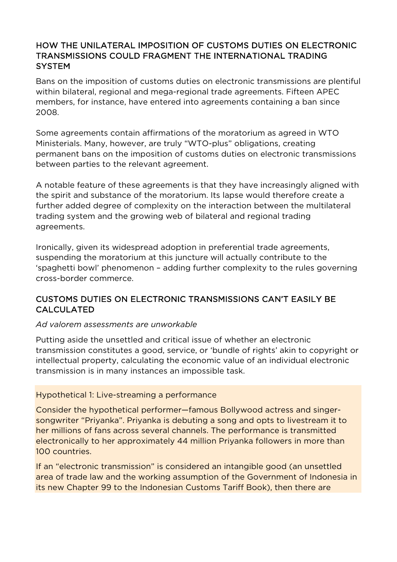## HOW THE UNILATERAL IMPOSITION OF CUSTOMS DUTIES ON ELECTRONIC TRANSMISSIONS COULD FRAGMENT THE INTERNATIONAL TRADING **SYSTEM**

Bans on the imposition of customs duties on electronic transmissions are plentiful within bilateral, regional and mega-regional trade agreements. Fifteen APEC members, for instance, have entered into agreements containing a ban since 2008.

Some agreements contain affirmations of the moratorium as agreed in WTO Ministerials. Many, however, are truly "WTO-plus" obligations, creating permanent bans on the imposition of customs duties on electronic transmissions between parties to the relevant agreement.

A notable feature of these agreements is that they have increasingly aligned with the spirit and substance of the moratorium. Its lapse would therefore create a further added degree of complexity on the interaction between the multilateral trading system and the growing web of bilateral and regional trading agreements.

Ironically, given its widespread adoption in preferential trade agreements, suspending the moratorium at this juncture will actually contribute to the 'spaghetti bowl' phenomenon – adding further complexity to the rules governing cross-border commerce.

# CUSTOMS DUTIES ON ELECTRONIC TRANSMISSIONS CAN'T EASILY BE CALCULATED

#### *Ad valorem assessments are unworkable*

Putting aside the unsettled and critical issue of whether an electronic transmission constitutes a good, service, or 'bundle of rights' akin to copyright or intellectual property, calculating the economic value of an individual electronic transmission is in many instances an impossible task.

#### Hypothetical 1: Live-streaming a performance

Consider the hypothetical performer—famous Bollywood actress and singersongwriter "Priyanka". Priyanka is debuting a song and opts to livestream it to her millions of fans across several channels. The performance is transmitted electronically to her approximately 44 million Priyanka followers in more than 100 countries.

If an "electronic transmission" is considered an intangible good (an unsettled area of trade law and the working assumption of the Government of Indonesia in its new Chapter 99 to the Indonesian Customs Tariff Book), then there are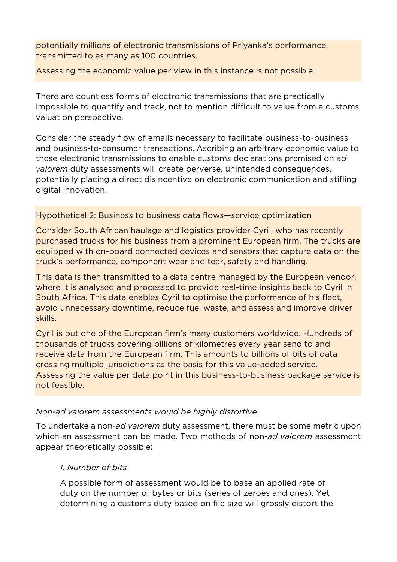potentially millions of electronic transmissions of Priyanka's performance, transmitted to as many as 100 countries.

Assessing the economic value per view in this instance is not possible.

There are countless forms of electronic transmissions that are practically impossible to quantify and track, not to mention difficult to value from a customs valuation perspective.

Consider the steady flow of emails necessary to facilitate business-to-business and business-to-consumer transactions. Ascribing an arbitrary economic value to these electronic transmissions to enable customs declarations premised on *ad valorem* duty assessments will create perverse, unintended consequences, potentially placing a direct disincentive on electronic communication and stifling digital innovation.

#### Hypothetical 2: Business to business data flows—service optimization

Consider South African haulage and logistics provider Cyril, who has recently purchased trucks for his business from a prominent European firm. The trucks are equipped with on-board connected devices and sensors that capture data on the truck's performance, component wear and tear, safety and handling.

This data is then transmitted to a data centre managed by the European vendor, where it is analysed and processed to provide real-time insights back to Cyril in South Africa. This data enables Cyril to optimise the performance of his fleet, avoid unnecessary downtime, reduce fuel waste, and assess and improve driver skills.

Cyril is but one of the European firm's many customers worldwide. Hundreds of thousands of trucks covering billions of kilometres every year send to and receive data from the European firm. This amounts to billions of bits of data crossing multiple jurisdictions as the basis for this value-added service. Assessing the value per data point in this business-to-business package service is not feasible.

#### *Non-ad valorem assessments would be highly distortive*

To undertake a non*-ad valorem* duty assessment, there must be some metric upon which an assessment can be made. Two methods of non-*ad valorem* assessment appear theoretically possible:

#### *1. Number of bits*

A possible form of assessment would be to base an applied rate of duty on the number of bytes or bits (series of zeroes and ones). Yet determining a customs duty based on file size will grossly distort the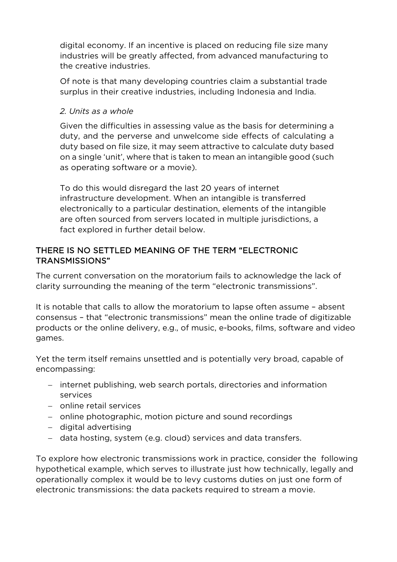digital economy. If an incentive is placed on reducing file size many industries will be greatly affected, from advanced manufacturing to the creative industries.

Of note is that many developing countries claim a substantial trade surplus in their creative industries, including Indonesia and India.

#### *2. Units as a whole*

Given the difficulties in assessing value as the basis for determining a duty, and the perverse and unwelcome side effects of calculating a duty based on file size, it may seem attractive to calculate duty based on a single 'unit', where that is taken to mean an intangible good (such as operating software or a movie).

To do this would disregard the last 20 years of internet infrastructure development. When an intangible is transferred electronically to a particular destination, elements of the intangible are often sourced from servers located in multiple jurisdictions, a fact explored in further detail below.

### THERE IS NO SETTLED MEANING OF THE TERM "ELECTRONIC TRANSMISSIONS"

The current conversation on the moratorium fails to acknowledge the lack of clarity surrounding the meaning of the term "electronic transmissions".

It is notable that calls to allow the moratorium to lapse often assume – absent consensus – that "electronic transmissions" mean the online trade of digitizable products or the online delivery, e.g., of music, e-books, films, software and video games.

Yet the term itself remains unsettled and is potentially very broad, capable of encompassing:

- − internet publishing, web search portals, directories and information services
- − online retail services
- − online photographic, motion picture and sound recordings
- − digital advertising
- − data hosting, system (e.g. cloud) services and data transfers.

To explore how electronic transmissions work in practice, consider the following hypothetical example, which serves to illustrate just how technically, legally and operationally complex it would be to levy customs duties on just one form of electronic transmissions: the data packets required to stream a movie.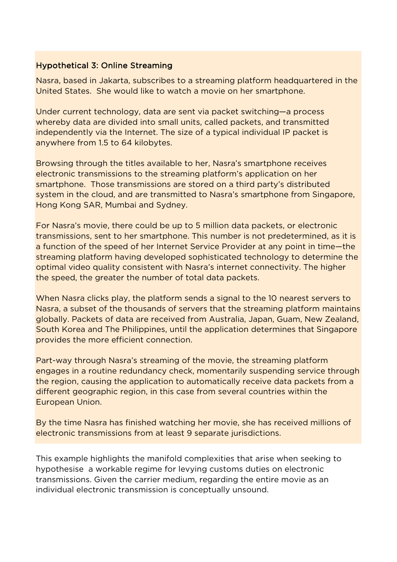### Hypothetical 3: Online Streaming

Nasra, based in Jakarta, subscribes to a streaming platform headquartered in the United States. She would like to watch a movie on her smartphone.

Under current technology, data are sent via packet switching—a process whereby data are divided into small units, called packets, and transmitted independently via the Internet. The size of a typical individual IP packet is anywhere from 1.5 to 64 kilobytes.

Browsing through the titles available to her, Nasra's smartphone receives electronic transmissions to the streaming platform's application on her smartphone. Those transmissions are stored on a third party's distributed system in the cloud, and are transmitted to Nasra's smartphone from Singapore, Hong Kong SAR, Mumbai and Sydney.

For Nasra's movie, there could be up to 5 million data packets, or electronic transmissions, sent to her smartphone. This number is not predetermined, as it is a function of the speed of her Internet Service Provider at any point in time—the streaming platform having developed sophisticated technology to determine the optimal video quality consistent with Nasra's internet connectivity. The higher the speed, the greater the number of total data packets.

When Nasra clicks play, the platform sends a signal to the 10 nearest servers to Nasra, a subset of the thousands of servers that the streaming platform maintains globally. Packets of data are received from Australia, Japan, Guam, New Zealand, South Korea and The Philippines, until the application determines that Singapore provides the more efficient connection.

Part-way through Nasra's streaming of the movie, the streaming platform engages in a routine redundancy check, momentarily suspending service through the region, causing the application to automatically receive data packets from a different geographic region, in this case from several countries within the European Union.

By the time Nasra has finished watching her movie, she has received millions of electronic transmissions from at least 9 separate jurisdictions.

This example highlights the manifold complexities that arise when seeking to hypothesise a workable regime for levying customs duties on electronic transmissions. Given the carrier medium, regarding the entire movie as an individual electronic transmission is conceptually unsound.